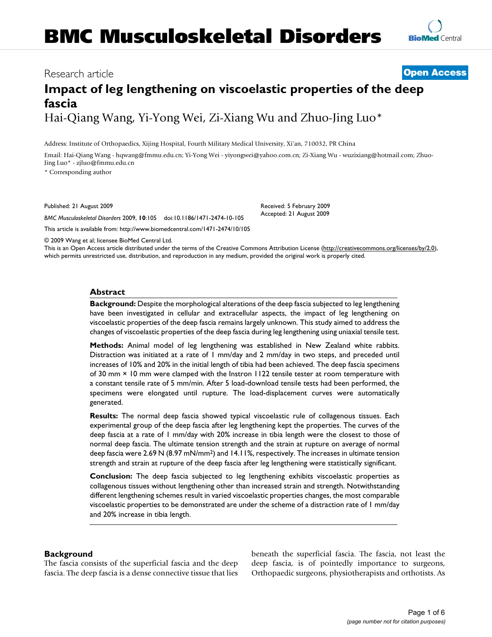# **Impact of leg lengthening on viscoelastic properties of the deep fascia** Hai-Qiang Wang, Yi-Yong Wei, Zi-Xiang Wu and Zhuo-Jing Luo\*

Address: Institute of Orthopaedics, Xijing Hospital, Fourth Military Medical University, Xi'an, 710032, PR China

Email: Hai-Qiang Wang - hqwang@fmmu.edu.cn; Yi-Yong Wei - yiyongwei@yahoo.com.cn; Zi-Xiang Wu - wuzixiang@hotmail.com; Zhuo-Jing Luo\* - zjluo@fmmu.edu.cn

\* Corresponding author

Published: 21 August 2009

*BMC Musculoskeletal Disorders* 2009, **10**:105 doi:10.1186/1471-2474-10-105

[This article is available from: http://www.biomedcentral.com/1471-2474/10/105](http://www.biomedcentral.com/1471-2474/10/105)

© 2009 Wang et al; licensee BioMed Central Ltd.

This is an Open Access article distributed under the terms of the Creative Commons Attribution License [\(http://creativecommons.org/licenses/by/2.0\)](http://creativecommons.org/licenses/by/2.0), which permits unrestricted use, distribution, and reproduction in any medium, provided the original work is properly cited.

#### **Abstract**

**Background:** Despite the morphological alterations of the deep fascia subjected to leg lengthening have been investigated in cellular and extracellular aspects, the impact of leg lengthening on viscoelastic properties of the deep fascia remains largely unknown. This study aimed to address the changes of viscoelastic properties of the deep fascia during leg lengthening using uniaxial tensile test.

**Methods:** Animal model of leg lengthening was established in New Zealand white rabbits. Distraction was initiated at a rate of 1 mm/day and 2 mm/day in two steps, and preceded until increases of 10% and 20% in the initial length of tibia had been achieved. The deep fascia specimens of 30 mm × 10 mm were clamped with the Instron 1122 tensile tester at room temperature with a constant tensile rate of 5 mm/min. After 5 load-download tensile tests had been performed, the specimens were elongated until rupture. The load-displacement curves were automatically generated.

**Results:** The normal deep fascia showed typical viscoelastic rule of collagenous tissues. Each experimental group of the deep fascia after leg lengthening kept the properties. The curves of the deep fascia at a rate of 1 mm/day with 20% increase in tibia length were the closest to those of normal deep fascia. The ultimate tension strength and the strain at rupture on average of normal deep fascia were 2.69 N (8.97 mN/mm2) and 14.11%, respectively. The increases in ultimate tension strength and strain at rupture of the deep fascia after leg lengthening were statistically significant.

**Conclusion:** The deep fascia subjected to leg lengthening exhibits viscoelastic properties as collagenous tissues without lengthening other than increased strain and strength. Notwithstanding different lengthening schemes result in varied viscoelastic properties changes, the most comparable viscoelastic properties to be demonstrated are under the scheme of a distraction rate of 1 mm/day and 20% increase in tibia length.

#### **Background**

The fascia consists of the superficial fascia and the deep fascia. The deep fascia is a dense connective tissue that lies beneath the superficial fascia. The fascia, not least the deep fascia, is of pointedly importance to surgeons, Orthopaedic surgeons, physiotherapists and orthotists. As

# **[Open Access](http://www.biomedcentral.com/info/about/charter/)**

Received: 5 February 2009 Accepted: 21 August 2009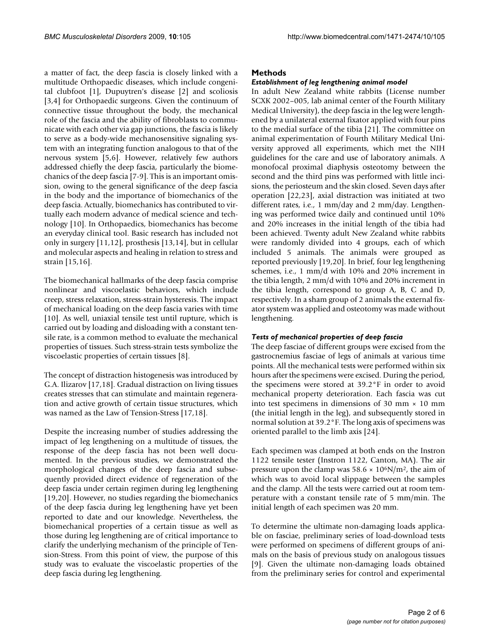a matter of fact, the deep fascia is closely linked with a multitude Orthopaedic diseases, which include congenital clubfoot [[1](#page-4-0)], Dupuytren's disease [[2](#page-4-1)] and scoliosis [[3](#page-4-2)[,4\]](#page-4-3) for Orthopaedic surgeons. Given the continuum of connective tissue throughout the body, the mechanical role of the fascia and the ability of fibroblasts to communicate with each other via gap junctions, the fascia is likely to serve as a body-wide mechanosensitive signaling system with an integrating function analogous to that of the nervous system [[5](#page-4-4),[6](#page-5-0)]. However, relatively few authors addressed chiefly the deep fascia, particularly the biomechanics of the deep fascia [[7](#page-5-1)[-9\]](#page-5-2). This is an important omission, owing to the general significance of the deep fascia in the body and the importance of biomechanics of the deep fascia. Actually, biomechanics has contributed to virtually each modern advance of medical science and technology [[10](#page-5-3)]. In Orthopaedics, biomechanics has become an everyday clinical tool. Basic research has included not only in surgery [[11,](#page-5-4)[12\]](#page-5-5), prosthesis [[13](#page-5-6),[14\]](#page-5-7), but in cellular and molecular aspects and healing in relation to stress and strain [[15,](#page-5-8)[16\]](#page-5-9).

The biomechanical hallmarks of the deep fascia comprise nonlinear and viscoelastic behaviors, which include creep, stress relaxation, stress-strain hysteresis. The impact of mechanical loading on the deep fascia varies with time [[10](#page-5-3)]. As well, uniaxial tensile test until rupture, which is carried out by loading and disloading with a constant tensile rate, is a common method to evaluate the mechanical properties of tissues. Such stress-strain tests symbolize the viscoelastic properties of certain tissues [\[8\]](#page-5-10).

The concept of distraction histogenesis was introduced by G.A. Ilizarov [\[17](#page-5-11),[18](#page-5-12)]. Gradual distraction on living tissues creates stresses that can stimulate and maintain regeneration and active growth of certain tissue structures, which was named as the Law of Tension-Stress [[17](#page-5-11),[18\]](#page-5-12).

Despite the increasing number of studies addressing the impact of leg lengthening on a multitude of tissues, the response of the deep fascia has not been well documented. In the previous studies, we demonstrated the morphological changes of the deep fascia and subsequently provided direct evidence of regeneration of the deep fascia under certain regimen during leg lengthening [[19](#page-5-13),[20\]](#page-5-14). However, no studies regarding the biomechanics of the deep fascia during leg lengthening have yet been reported to date and our knowledge. Nevertheless, the biomechanical properties of a certain tissue as well as those during leg lengthening are of critical importance to clarify the underlying mechanism of the principle of Tension-Stress. From this point of view, the purpose of this study was to evaluate the viscoelastic properties of the deep fascia during leg lengthening.

# **Methods**

#### *Establishment of leg lengthening animal model*

In adult New Zealand white rabbits (License number SCXK 2002–005, lab animal center of the Fourth Military Medical University), the deep fascia in the leg were lengthened by a unilateral external fixator applied with four pins to the medial surface of the tibia [\[21\]](#page-5-15). The committee on animal experimentation of Fourth Military Medical University approved all experiments, which met the NIH guidelines for the care and use of laboratory animals. A monofocal proximal diaphysis osteotomy between the second and the third pins was performed with little incisions, the periosteum and the skin closed. Seven days after operation [\[22](#page-5-16),[23\]](#page-5-17), axial distraction was initiated at two different rates, i.e., 1 mm/day and 2 mm/day. Lengthening was performed twice daily and continued until 10% and 20% increases in the initial length of the tibia had been achieved. Twenty adult New Zealand white rabbits were randomly divided into 4 groups, each of which included 5 animals. The animals were grouped as reported previously [[19,](#page-5-13)[20\]](#page-5-14). In brief, four leg lengthening schemes, i.e., 1 mm/d with 10% and 20% increment in the tibia length, 2 mm/d with 10% and 20% increment in the tibia length, correspond to group A, B, C and D, respectively. In a sham group of 2 animals the external fixator system was applied and osteotomy was made without lengthening.

# *Tests of mechanical properties of deep fascia*

The deep fasciae of different groups were excised from the gastrocnemius fasciae of legs of animals at various time points. All the mechanical tests were performed within six hours after the specimens were excised. During the period, the specimens were stored at 39.2°F in order to avoid mechanical property deterioration. Each fascia was cut into test specimens in dimensions of 30 mm  $\times$  10 mm (the initial length in the leg), and subsequently stored in normal solution at 39.2°F. The long axis of specimens was oriented parallel to the limb axis [\[24](#page-5-18)].

Each specimen was clamped at both ends on the Instron 1122 tensile tester (Instron 1122, Canton, MA). The air pressure upon the clamp was  $58.6 \times 10^6$ N/m<sup>2</sup>, the aim of which was to avoid local slippage between the samples and the clamp. All the tests were carried out at room temperature with a constant tensile rate of 5 mm/min. The initial length of each specimen was 20 mm.

To determine the ultimate non-damaging loads applicable on fasciae, preliminary series of load-download tests were performed on specimens of different groups of animals on the basis of previous study on analogous tissues [[9\]](#page-5-2). Given the ultimate non-damaging loads obtained from the preliminary series for control and experimental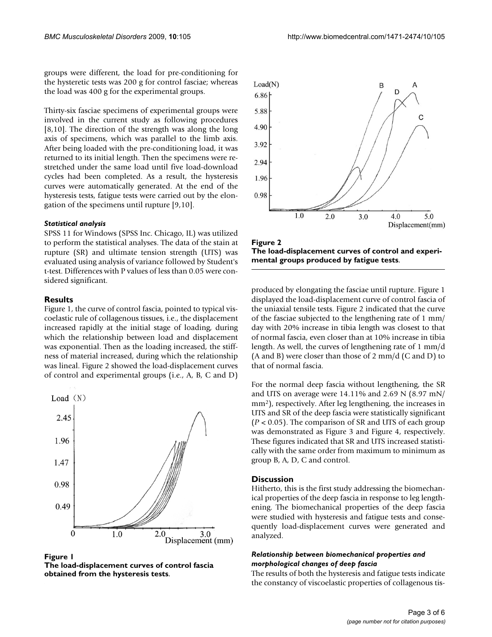groups were different, the load for pre-conditioning for the hysteretic tests was 200 g for control fasciae; whereas the load was 400 g for the experimental groups.

Thirty-six fasciae specimens of experimental groups were involved in the current study as following procedures [[8](#page-5-10)[,10](#page-5-3)]. The direction of the strength was along the long axis of specimens, which was parallel to the limb axis. After being loaded with the pre-conditioning load, it was returned to its initial length. Then the specimens were restretched under the same load until five load-download cycles had been completed. As a result, the hysteresis curves were automatically generated. At the end of the hysteresis tests, fatigue tests were carried out by the elongation of the specimens until rupture [\[9](#page-5-2)[,10](#page-5-3)].

#### *Statistical analysis*

SPSS 11 for Windows (SPSS Inc. Chicago, IL) was utilized to perform the statistical analyses. The data of the stain at rupture (SR) and ultimate tension strength (UTS) was evaluated using analysis of variance followed by Student's t-test. Differences with P values of less than 0.05 were considered significant.

#### **Results**

Figure [1,](#page-2-0) the curve of control fascia, pointed to typical viscoelastic rule of collagenous tissues, i.e., the displacement increased rapidly at the initial stage of loading, during which the relationship between load and displacement was exponential. Then as the loading increased, the stiffness of material increased, during which the relationship was lineal. Figure [2](#page-2-1) showed the load-displacement curves of control and experimental groups (i.e., A, B, C and D)

<span id="page-2-0"></span>

Figure 1 **The load-displacement curves of control fascia obtained from the hysteresis tests**.

<span id="page-2-1"></span>

Figure 2 **The load-displacement curves of control and experimental groups produced by fatigue tests**.

produced by elongating the fasciae until rupture. Figure [1](#page-2-0) displayed the load-displacement curve of control fascia of the uniaxial tensile tests. Figure [2](#page-2-1) indicated that the curve of the fasciae subjected to the lengthening rate of 1 mm/ day with 20% increase in tibia length was closest to that of normal fascia, even closer than at 10% increase in tibia length. As well, the curves of lengthening rate of 1 mm/d (A and B) were closer than those of 2 mm/d (C and D) to that of normal fascia.

For the normal deep fascia without lengthening, the SR and UTS on average were 14.11% and 2.69 N (8.97 mN/ mm<sup>2</sup>), respectively. After leg lengthening, the increases in UTS and SR of the deep fascia were statistically significant (*P* < 0.05). The comparison of SR and UTS of each group was demonstrated as Figure [3](#page-3-0) and Figure [4](#page-3-1), respectively. These figures indicated that SR and UTS increased statistically with the same order from maximum to minimum as group B, A, D, C and control.

#### **Discussion**

Hitherto, this is the first study addressing the biomechanical properties of the deep fascia in response to leg lengthening. The biomechanical properties of the deep fascia were studied with hysteresis and fatigue tests and consequently load-displacement curves were generated and analyzed.

#### *Relationship between biomechanical properties and morphological changes of deep fascia*

The results of both the hysteresis and fatigue tests indicate the constancy of viscoelastic properties of collagenous tis-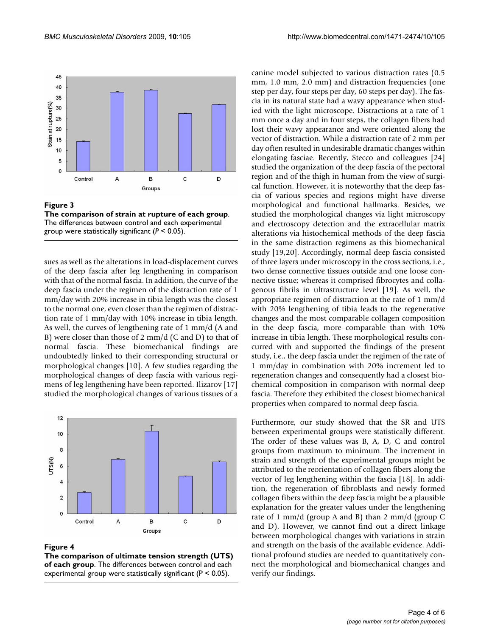<span id="page-3-0"></span>

Figure 3 **The comparison of strain at rupture of each group**. The differences between control and each experimental group were statistically significant (*P* < 0.05).

sues as well as the alterations in load-displacement curves of the deep fascia after leg lengthening in comparison with that of the normal fascia. In addition, the curve of the deep fascia under the regimen of the distraction rate of 1 mm/day with 20% increase in tibia length was the closest to the normal one, even closer than the regimen of distraction rate of 1 mm/day with 10% increase in tibia length. As well, the curves of lengthening rate of 1 mm/d (A and B) were closer than those of 2 mm/d (C and D) to that of normal fascia. These biomechanical findings are undoubtedly linked to their corresponding structural or morphological changes [[10](#page-5-3)]. A few studies regarding the morphological changes of deep fascia with various regimens of leg lengthening have been reported. Ilizarov [[17\]](#page-5-11) studied the morphological changes of various tissues of a

<span id="page-3-1"></span>

#### Figure 4

**The comparison of ultimate tension strength (UTS) of each group**. The differences between control and each experimental group were statistically significant (P < 0.05).

canine model subjected to various distraction rates (0.5 mm, 1.0 mm, 2.0 mm) and distraction frequencies (one step per day, four steps per day, 60 steps per day). The fascia in its natural state had a wavy appearance when studied with the light microscope. Distractions at a rate of 1 mm once a day and in four steps, the collagen fibers had lost their wavy appearance and were oriented along the vector of distraction. While a distraction rate of 2 mm per day often resulted in undesirable dramatic changes within elongating fasciae. Recently, Stecco and colleagues [[24\]](#page-5-18) studied the organization of the deep fascia of the pectoral region and of the thigh in human from the view of surgical function. However, it is noteworthy that the deep fascia of various species and regions might have diverse morphological and functional hallmarks. Besides, we studied the morphological changes via light microscopy and electroscopy detection and the extracellular matrix alterations via histochemical methods of the deep fascia in the same distraction regimens as this biomechanical study [\[19](#page-5-13),[20\]](#page-5-14). Accordingly, normal deep fascia consisted of three layers under microscopy in the cross sections, i.e., two dense connective tissues outside and one loose connective tissue; whereas it comprised fibrocytes and collagenous fibrils in ultrastructure level [[19](#page-5-13)]. As well, the appropriate regimen of distraction at the rate of 1 mm/d with 20% lengthening of tibia leads to the regenerative changes and the most comparable collagen composition in the deep fascia, more comparable than with 10% increase in tibia length. These morphological results concurred with and supported the findings of the present study, i.e., the deep fascia under the regimen of the rate of 1 mm/day in combination with 20% increment led to regeneration changes and consequently had a closest biochemical composition in comparison with normal deep fascia. Therefore they exhibited the closest biomechanical properties when compared to normal deep fascia.

Furthermore, our study showed that the SR and UTS between experimental groups were statistically different. The order of these values was B, A, D, C and control groups from maximum to minimum. The increment in strain and strength of the experimental groups might be attributed to the reorientation of collagen fibers along the vector of leg lengthening within the fascia [[18\]](#page-5-12). In addition, the regeneration of fibroblasts and newly formed collagen fibers within the deep fascia might be a plausible explanation for the greater values under the lengthening rate of 1 mm/d (group A and B) than 2 mm/d (group C and D). However, we cannot find out a direct linkage between morphological changes with variations in strain and strength on the basis of the available evidence. Additional profound studies are needed to quantitatively connect the morphological and biomechanical changes and verify our findings.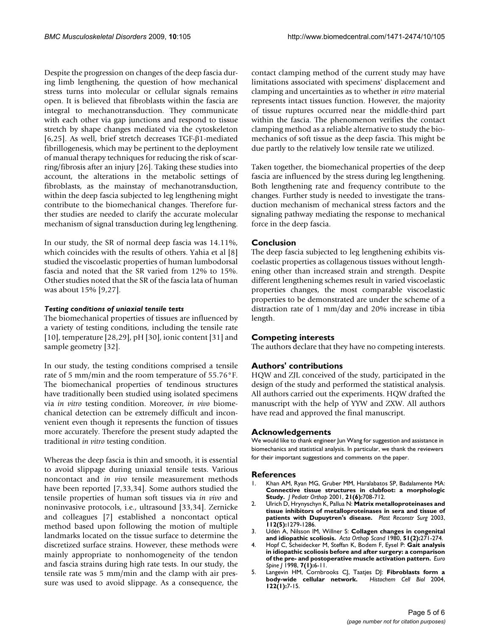Despite the progression on changes of the deep fascia during limb lengthening, the question of how mechanical stress turns into molecular or cellular signals remains open. It is believed that fibroblasts within the fascia are integral to mechanotransduction. They communicate with each other via gap junctions and respond to tissue stretch by shape changes mediated via the cytoskeleton [[6](#page-5-0)[,25](#page-5-19)]. As well, brief stretch decreases TGF-β1-mediated fibrillogenesis, which may be pertinent to the deployment of manual therapy techniques for reducing the risk of scarring/fibrosis after an injury [[26](#page-5-20)]. Taking these studies into account, the alterations in the metabolic settings of fibroblasts, as the mainstay of mechanotransduction, within the deep fascia subjected to leg lengthening might contribute to the biomechanical changes. Therefore further studies are needed to clarify the accurate molecular mechanism of signal transduction during leg lengthening.

In our study, the SR of normal deep fascia was 14.11%, which coincides with the results of others. Yahia et al [\[8\]](#page-5-10) studied the viscoelastic properties of human lumbodorsal fascia and noted that the SR varied from 12% to 15%. Other studies noted that the SR of the fascia lata of human was about 15% [[9](#page-5-2),[27\]](#page-5-21).

#### *Testing conditions of uniaxial tensile tests*

The biomechanical properties of tissues are influenced by a variety of testing conditions, including the tensile rate [[10](#page-5-3)], temperature [[28,](#page-5-22)[29\]](#page-5-23), pH [[30](#page-5-24)], ionic content [[31\]](#page-5-25) and sample geometry [[32\]](#page-5-26).

In our study, the testing conditions comprised a tensile rate of 5 mm/min and the room temperature of 55.76°F. The biomechanical properties of tendinous structures have traditionally been studied using isolated specimens via *in vitro* testing condition. Moreover, *in vivo* biomechanical detection can be extremely difficult and inconvenient even though it represents the function of tissues more accurately. Therefore the present study adapted the traditional *in vitro* testing condition.

Whereas the deep fascia is thin and smooth, it is essential to avoid slippage during uniaxial tensile tests. Various noncontact and *in vivo* tensile measurement methods have been reported [\[7](#page-5-1)[,33](#page-5-27),[34\]](#page-5-28). Some authors studied the tensile properties of human soft tissues via *in vivo* and noninvasive protocols, i.e., ultrasound [\[33](#page-5-27),[34\]](#page-5-28). Zernicke and colleagues [[7\]](#page-5-1) established a noncontact optical method based upon following the motion of multiple landmarks located on the tissue surface to determine the discretized surface strains. However, these methods were mainly appropriate to nonhomogeneity of the tendon and fascia strains during high rate tests. In our study, the tensile rate was 5 mm/min and the clamp with air pressure was used to avoid slippage. As a consequence, the contact clamping method of the current study may have limitations associated with specimens' displacement and clamping and uncertainties as to whether *in vitro* material represents intact tissues function. However, the majority of tissue ruptures occurred near the middle-third part within the fascia. The phenomenon verifies the contact clamping method as a reliable alternative to study the biomechanics of soft tissue as the deep fascia. This might be due partly to the relatively low tensile rate we utilized.

Taken together, the biomechanical properties of the deep fascia are influenced by the stress during leg lengthening. Both lengthening rate and frequency contribute to the changes. Further study is needed to investigate the transduction mechanism of mechanical stress factors and the signaling pathway mediating the response to mechanical force in the deep fascia.

# **Conclusion**

The deep fascia subjected to leg lengthening exhibits viscoelastic properties as collagenous tissues without lengthening other than increased strain and strength. Despite different lengthening schemes result in varied viscoelastic properties changes, the most comparable viscoelastic properties to be demonstrated are under the scheme of a distraction rate of 1 mm/day and 20% increase in tibia length.

# **Competing interests**

The authors declare that they have no competing interests.

# **Authors' contributions**

HQW and ZJL conceived of the study, participated in the design of the study and performed the statistical analysis. All authors carried out the experiments. HQW drafted the manuscript with the help of YYW and ZXW. All authors have read and approved the final manuscript.

# **Acknowledgements**

We would like to thank engineer Jun Wang for suggestion and assistance in biomechanics and statistical analysis. In particular, we thank the reviewers for their important suggestions and comments on the paper.

#### **References**

- <span id="page-4-0"></span>Khan AM, Ryan MG, Gruber MM, Haralabatos SP, Badalamente MA: **[Connective tissue structures in clubfoot: a morphologic](http://www.ncbi.nlm.nih.gov/entrez/query.fcgi?cmd=Retrieve&db=PubMed&dopt=Abstract&list_uids=11675541) [Study.](http://www.ncbi.nlm.nih.gov/entrez/query.fcgi?cmd=Retrieve&db=PubMed&dopt=Abstract&list_uids=11675541)** *J Pediatr Orthop* 2001, **21(6):**708-712.
- <span id="page-4-1"></span>2. Ulrich D, Hrynyschyn K, Pallua N: **[Matrix metalloproteinases and](http://www.ncbi.nlm.nih.gov/entrez/query.fcgi?cmd=Retrieve&db=PubMed&dopt=Abstract&list_uids=14504511) [tissue inhibitors of metalloproteinases in sera and tissue of](http://www.ncbi.nlm.nih.gov/entrez/query.fcgi?cmd=Retrieve&db=PubMed&dopt=Abstract&list_uids=14504511) [patients with Dupuytren's disease.](http://www.ncbi.nlm.nih.gov/entrez/query.fcgi?cmd=Retrieve&db=PubMed&dopt=Abstract&list_uids=14504511)** *Plast Reconstr Surg* 2003, **112(5):**1279-1286.
- <span id="page-4-2"></span>3. Udén A, Nilsson IM, Willner S: **[Collagen changes in congenital](http://www.ncbi.nlm.nih.gov/entrez/query.fcgi?cmd=Retrieve&db=PubMed&dopt=Abstract&list_uids=7435186) [and idiopathic scoliosis.](http://www.ncbi.nlm.nih.gov/entrez/query.fcgi?cmd=Retrieve&db=PubMed&dopt=Abstract&list_uids=7435186)** *Acta Orthop Scand* 1980, **51(2):**271-274.
- <span id="page-4-3"></span>4. Hopf C, Scheidecker M, Steffan K, Bodem F, Eysel P: **Gait analysis in idiopathic scoliosis before and after surgery: a comparison of the pre- and postoperative muscle activation pattern.** *Euro Spine J* 1998, **7(1):**6-11.
- <span id="page-4-4"></span>5. Langevin HM, Cornbrooks CJ, Taatjes DJ: **[Fibroblasts form a](http://www.ncbi.nlm.nih.gov/entrez/query.fcgi?cmd=Retrieve&db=PubMed&dopt=Abstract&list_uids=15221410) [body-wide cellular network.](http://www.ncbi.nlm.nih.gov/entrez/query.fcgi?cmd=Retrieve&db=PubMed&dopt=Abstract&list_uids=15221410) 122(1):**7-15.